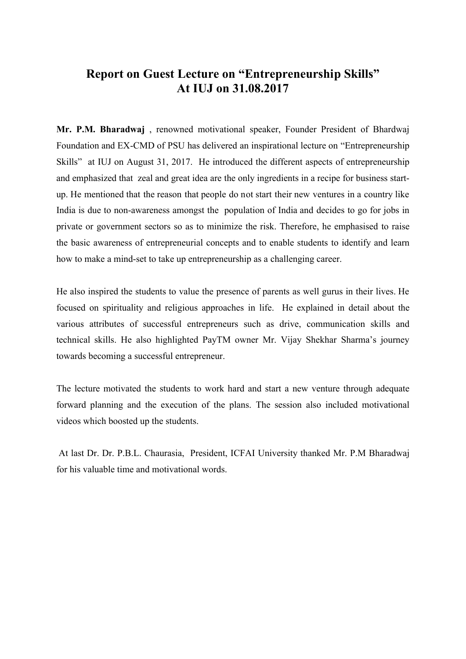## Report on Guest Lecture on "Entrepreneurship Skills" At IUJ on 31.08.2017

Mr. P.M. Bharadwaj , renowned motivational speaker, Founder President of Bhardwaj Foundation and EX-CMD of PSU has delivered an inspirational lecture on "Entrepreneurship Skills" at IUJ on August 31, 2017. He introduced the different aspects of entrepreneurship and emphasized that zeal and great idea are the only ingredients in a recipe for business startup. He mentioned that the reason that people do not start their new ventures in a country like India is due to non-awareness amongst the population of India and decides to go for jobs in private or government sectors so as to minimize the risk. Therefore, he emphasised to raise the basic awareness of entrepreneurial concepts and to enable students to identify and learn how to make a mind-set to take up entrepreneurship as a challenging career.

He also inspired the students to value the presence of parents as well gurus in their lives. He focused on spirituality and religious approaches in life. He explained in detail about the various attributes of successful entrepreneurs such as drive, communication skills and technical skills. He also highlighted PayTM owner Mr. Vijay Shekhar Sharma's journey towards becoming a successful entrepreneur.

The lecture motivated the students to work hard and start a new venture through adequate forward planning and the execution of the plans. The session also included motivational videos which boosted up the students.

At last Dr. Dr. P.B.L. Chaurasia, President, ICFAI University thanked Mr. P.M Bharadwaj for his valuable time and motivational words.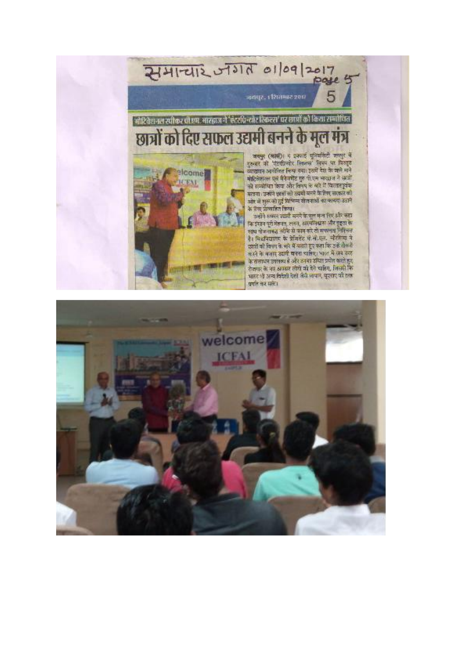## 2141-212 57317 01/09/2017 4

जयपुर. । रिधामाट २०६

5

## ं मोटिवेशनल स्पीकर पी.एम. आरझज ने 'ऍटरपिन्योर रिकल्स' पर रूप्पों को किया राम्पोधित छात्रों को दिए सफल उद्यमी बनने के मूल मंत्र

elcome

**CEAT** 

जयमूर (आस)। य इसकाई यूनियर्सिटी जलसूर मे इस्लार को पोटवील्योर निकल्स' लिसम पर विस्तृत व्याख्यान आयोजित किया गया। इसमें देश के काने नाने मोटिनेशनल पूर्व मैनेजमेंट गुरु पो.एम भारत ने सातों को सम्बोधित केया और लिएप के बारे में विस्तारपूर्वक बराया उन्होंने शार्तों को उदायों बनने के रिण, सरकार को ओर से शुरू को हुई विभिन्न योजनाओं का फायदा उठाने के रिना प्राप्ताहित किया।

.<br>उन्होंने सफल जार्मी बनने के मूल मन्त्र रिए और सहा<br>कि इंग्रान पूरी मेहनत, लगन, आत्मविश्वास और दृङ्गा के साथ खेळनाचंद्र तरीके से काम करे तो मणलता निविचन रै। विश्वविद्यालय के प्रेमिडेंट में लें.एल. चौरमिया ने उपयों को विषय के बारे में सताते हुए कहा कि उन्हें तोक दे करने के बजार उद्यमी बनना चाहिए। भारत में रहद तरह के संसाधन उपलब्ध है और उनका समित प्रयोग करते हुए रोजपार के नए अवसर लोगों को देने चाहिए, जिससे कि भारत भी अन्य विदेशी देशी जैसे लापान, सूएसए की तरह प्रगति कर सके।